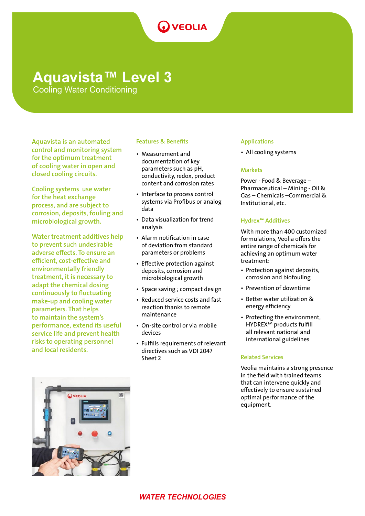# **O** VEOLIA

# **Aquavista™ Level 3**

Cooling Water Conditioning

Aquavista is an automated control and monitoring system for the optimum treatment of cooling water in open and closed cooling circuits.

Cooling systems use water for the heat exchange process, and are subject to corrosion, deposits, fouling and microbiological growth.

Water treatment additives help to prevent such undesirable adverse effects. To ensure an efficient, cost-effective and environmentally friendly treatment, it is necessary to adapt the chemical dosing continuously to fluctuating make-up and cooling water parameters. That helps to maintain the system's performance, extend its useful service life and prevent health risks to operating personnel and local residents.

# Features & Benefits

- Measurement and documentation of key parameters such as pH, conductivity, redox, product content and corrosion rates
- Interface to process control systems via Profibus or analog data
- Data visualization for trend analysis
- Alarm notification in case of deviation from standard parameters or problems
- Effective protection against deposits, corrosion and microbiological growth
- Space saving ; compact design
- Reduced service costs and fast reaction thanks to remote maintenance
- On-site control or via mobile devices
- Fulfills requirements of relevant directives such as VDI 2047 Sheet 2

# Applications

• All cooling systems

# **Markets**

Power - Food & Beverage – Pharmaceutical – Mining - Oil & Gas – Chemicals –Commercial & Institutional, etc.

# Hydrex™ Additives

With more than 400 customized formulations, Veolia offers the entire range of chemicals for achieving an optimum water treatment:

- Protection against deposits, corrosion and biofouling
- Prevention of downtime
- Better water utilization & energy efficiency
- Protecting the environment, HYDREXTM products fulfill all relevant national and international guidelines

### Related Services

Veolia maintains a strong presence in the field with trained teams that can intervene quickly and effectively to ensure sustained optimal performance of the equipment.